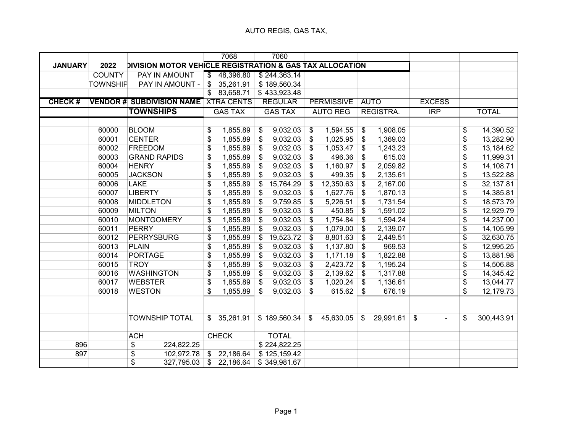|                |                 |                                                          |                          | 7068           | 7060            |       |                   |               |             |                                |                 |              |
|----------------|-----------------|----------------------------------------------------------|--------------------------|----------------|-----------------|-------|-------------------|---------------|-------------|--------------------------------|-----------------|--------------|
| <b>JANUARY</b> | 2022            | DIVISION MOTOR VEHICLE REGISTRATION & GAS TAX ALLOCATION |                          |                |                 |       |                   |               |             |                                |                 |              |
|                | <b>COUNTY</b>   | PAY IN AMOUNT                                            | $\overline{\mathcal{S}}$ | 48,396.80      | \$244,363.14    |       |                   |               |             |                                |                 |              |
|                | <b>TOWNSHIP</b> | PAY IN AMOUNT -                                          | \$                       | 35,261.91      | \$189,560.34    |       |                   |               |             |                                |                 |              |
|                |                 |                                                          | $\overline{\mathcal{S}}$ | 83,658.71      | \$433,923.48    |       |                   |               |             |                                |                 |              |
| <b>CHECK#</b>  |                 | <b>VENDOR # SUBDIVISION NAME XTRA CENTS</b>              |                          |                | <b>REGULAR</b>  |       | <b>PERMISSIVE</b> |               | <b>AUTO</b> | <b>EXCESS</b>                  |                 |              |
|                |                 | <b>TOWNSHIPS</b>                                         |                          | <b>GAS TAX</b> | <b>GAS TAX</b>  |       | <b>AUTO REG</b>   |               | REGISTRA.   | IRP                            |                 | <b>TOTAL</b> |
|                |                 |                                                          |                          |                |                 |       |                   |               |             |                                |                 |              |
|                | 60000           | <b>BLOOM</b>                                             | \$                       | 1,855.89       | \$<br>9,032.03  | \$    | 1,594.55          | \$            | 1,908.05    |                                | \$              | 14,390.52    |
|                | 60001           | <b>CENTER</b>                                            | \$                       | 1,855.89       | \$<br>9,032.03  | \$    | 1,025.95          | \$            | 1,369.03    |                                | \$              | 13,282.90    |
|                | 60002           | <b>FREEDOM</b>                                           | \$                       | 1,855.89       | \$<br>9,032.03  | \$    | 1,053.47          | \$            | 1,243.23    |                                | \$              | 13,184.62    |
|                | 60003           | <b>GRAND RAPIDS</b>                                      | \$                       | 1,855.89       | \$<br>9,032.03  | \$    | 496.36            | \$            | 615.03      |                                | \$              | 11,999.31    |
|                | 60004           | <b>HENRY</b>                                             | $\overline{\$}$          | 1,855.89       | \$<br>9,032.03  | \$    | 1,160.97          | \$            | 2,059.82    |                                | $\overline{\$}$ | 14,108.71    |
|                | 60005           | <b>JACKSON</b>                                           | \$                       | 1,855.89       | \$<br>9,032.03  | \$    | 499.35            | \$            | 2,135.61    |                                | \$              | 13,522.88    |
|                | 60006           | <b>LAKE</b>                                              | \$                       | 1,855.89       | \$<br>15,764.29 | \$    | 12,350.63         | \$            | 2,167.00    |                                | \$              | 32,137.81    |
|                | 60007           | <b>LIBERTY</b>                                           | \$                       | 1,855.89       | \$<br>9,032.03  | \$    | 1,627.76          | \$            | 1,870.13    |                                | \$              | 14,385.81    |
|                | 60008           | <b>MIDDLETON</b>                                         | \$                       | 1,855.89       | \$<br>9,759.85  | \$    | 5,226.51          | \$            | 1,731.54    |                                | \$              | 18,573.79    |
|                | 60009           | <b>MILTON</b>                                            | \$                       | 1,855.89       | \$<br>9,032.03  | \$    | 450.85            | \$            | 1,591.02    |                                | \$              | 12,929.79    |
|                | 60010           | <b>MONTGOMERY</b>                                        | \$                       | 1,855.89       | \$<br>9,032.03  | \$    | 1,754.84          | $\sqrt[6]{3}$ | 1,594.24    |                                | \$              | 14,237.00    |
|                | 60011           | <b>PERRY</b>                                             | \$                       | 1,855.89       | \$<br>9,032.03  | \$    | 1,079.00          | \$            | 2,139.07    |                                | \$              | 14,105.99    |
|                | 60012           | <b>PERRYSBURG</b>                                        | \$                       | 1,855.89       | \$<br>19,523.72 | \$    | 8,801.63          | \$            | 2,449.51    |                                | \$              | 32,630.75    |
|                | 60013           | <b>PLAIN</b>                                             | $\overline{\$}$          | 1,855.89       | \$<br>9,032.03  | \$    | 1,137.80          | $\sqrt[6]{3}$ | 969.53      |                                | $\overline{\$}$ | 12,995.25    |
|                | 60014           | <b>PORTAGE</b>                                           | $\overline{\$}$          | 1,855.89       | \$<br>9,032.03  | \$    | 1,171.18          | \$            | 1,822.88    |                                | $\overline{\$}$ | 13,881.98    |
|                | 60015           | <b>TROY</b>                                              | $\overline{\$}$          | 1,855.89       | \$<br>9,032.03  | \$    | 2,423.72          | \$            | 1,195.24    |                                | $\overline{\$}$ | 14,506.88    |
|                | 60016           | <b>WASHINGTON</b>                                        | \$                       | 1,855.89       | \$<br>9,032.03  | \$    | 2,139.62          | \$            | 1,317.88    |                                | \$              | 14,345.42    |
|                | 60017           | <b>WEBSTER</b>                                           | \$                       | 1,855.89       | \$<br>9,032.03  | \$    | 1,020.24          | \$            | 1,136.61    |                                | \$              | 13,044.77    |
|                | 60018           | <b>WESTON</b>                                            | \$                       | 1,855.89       | \$<br>9,032.03  | \$    | 615.62            | $\sqrt[6]{3}$ | 676.19      |                                | \$              | 12,179.73    |
|                |                 |                                                          |                          |                |                 |       |                   |               |             |                                |                 |              |
|                |                 |                                                          |                          |                |                 |       |                   |               |             |                                |                 |              |
|                |                 | <b>TOWNSHIP TOTAL</b>                                    | \$                       | 35,261.91      | \$189,560.34    | $\$\$ | 45,630.05         | \$            | 29,991.61   | \$<br>$\overline{\phantom{a}}$ | \$              | 300,443.91   |
|                |                 |                                                          |                          |                |                 |       |                   |               |             |                                |                 |              |
|                |                 | <b>ACH</b>                                               |                          | <b>CHECK</b>   | <b>TOTAL</b>    |       |                   |               |             |                                |                 |              |
| 896            |                 | \$<br>224,822.25                                         |                          |                | \$224,822.25    |       |                   |               |             |                                |                 |              |
| 897            |                 | \$<br>102,972.78                                         |                          | \$22,186.64    | \$125,159.42    |       |                   |               |             |                                |                 |              |
|                |                 | $\overline{\$}$<br>327,795.03                            | $\mathfrak{L}$           | 22,186.64      | \$349,981.67    |       |                   |               |             |                                |                 |              |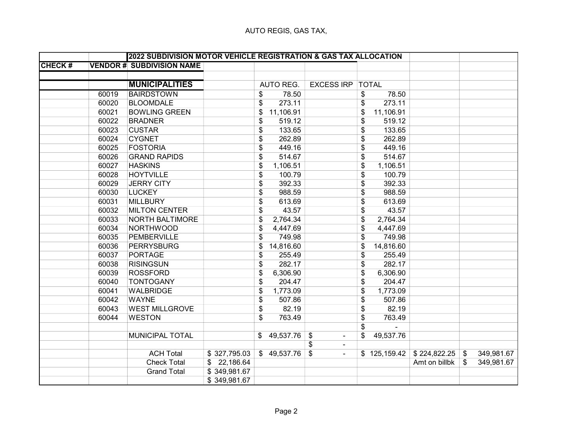|               |       |                                  | 2022 SUBDIVISION MOTOR VEHICLE REGISTRATION & GAS TAX ALLOCATION |                      |              |               |                  |
|---------------|-------|----------------------------------|------------------------------------------------------------------|----------------------|--------------|---------------|------------------|
| <b>CHECK#</b> |       | <b>VENDOR # SUBDIVISION NAME</b> |                                                                  |                      |              |               |                  |
|               |       |                                  |                                                                  |                      |              |               |                  |
|               |       | <b>MUNICIPALITIES</b>            | AUTO REG.<br><b>EXCESS IRP   TOTAL</b>                           |                      |              |               |                  |
|               | 60019 | <b>BAIRDSTOWN</b>                | 78.50<br>\$                                                      | \$                   | 78.50        |               |                  |
|               | 60020 | <b>BLOOMDALE</b>                 | 273.11<br>\$                                                     | \$                   | 273.11       |               |                  |
|               | 60021 | <b>BOWLING GREEN</b>             | 11,106.91<br>\$                                                  | \$                   | 11,106.91    |               |                  |
|               | 60022 | <b>BRADNER</b>                   | \$<br>519.12                                                     | \$                   | 519.12       |               |                  |
|               | 60023 | <b>CUSTAR</b>                    | \$<br>133.65                                                     | \$                   | 133.65       |               |                  |
|               | 60024 | <b>CYGNET</b>                    | \$<br>262.89                                                     | \$                   | 262.89       |               |                  |
|               | 60025 | <b>FOSTORIA</b>                  | \$<br>449.16                                                     | \$                   | 449.16       |               |                  |
|               | 60026 | <b>GRAND RAPIDS</b>              | \$<br>514.67                                                     | \$                   | 514.67       |               |                  |
|               | 60027 | <b>HASKINS</b>                   | \$<br>1,106.51                                                   | \$                   | 1,106.51     |               |                  |
|               | 60028 | <b>HOYTVILLE</b>                 | \$<br>100.79                                                     | \$                   | 100.79       |               |                  |
|               | 60029 | <b>JERRY CITY</b>                | \$<br>392.33                                                     | \$                   | 392.33       |               |                  |
|               | 60030 | <b>LUCKEY</b>                    | \$<br>988.59                                                     | \$                   | 988.59       |               |                  |
|               | 60031 | <b>MILLBURY</b>                  | \$<br>613.69                                                     | \$                   | 613.69       |               |                  |
|               | 60032 | <b>MILTON CENTER</b>             | \$<br>43.57                                                      | \$                   | 43.57        |               |                  |
|               | 60033 | <b>NORTH BALTIMORE</b>           | \$<br>2,764.34                                                   | \$                   | 2,764.34     |               |                  |
|               | 60034 | <b>NORTHWOOD</b>                 | \$<br>4,447.69                                                   | \$                   | 4,447.69     |               |                  |
|               | 60035 | PEMBERVILLE                      | \$<br>749.98                                                     | \$                   | 749.98       |               |                  |
|               | 60036 | <b>PERRYSBURG</b>                | 14,816.60<br>\$                                                  | \$                   | 14,816.60    |               |                  |
|               | 60037 | <b>PORTAGE</b>                   | \$<br>255.49                                                     | \$                   | 255.49       |               |                  |
|               | 60038 | <b>RISINGSUN</b>                 | \$<br>282.17                                                     | \$                   | 282.17       |               |                  |
|               | 60039 | <b>ROSSFORD</b>                  | \$<br>6,306.90                                                   | \$                   | 6,306.90     |               |                  |
|               | 60040 | <b>TONTOGANY</b>                 | \$<br>204.47                                                     | \$                   | 204.47       |               |                  |
|               | 60041 | <b>WALBRIDGE</b>                 | 1,773.09<br>\$                                                   | \$                   | 1,773.09     |               |                  |
|               | 60042 | <b>WAYNE</b>                     | \$<br>507.86                                                     | \$                   | 507.86       |               |                  |
|               | 60043 | <b>WEST MILLGROVE</b>            | \$<br>82.19                                                      | \$                   | 82.19        |               |                  |
|               | 60044 | <b>WESTON</b>                    | \$<br>763.49                                                     | \$                   | 763.49       |               |                  |
|               |       |                                  |                                                                  | \$                   |              |               |                  |
|               |       | MUNICIPAL TOTAL                  | \$49,537.76<br>\$                                                | \$<br>$\blacksquare$ | 49,537.76    |               |                  |
|               |       |                                  | \$                                                               | $\blacksquare$       |              |               |                  |
|               |       | <b>ACH Total</b>                 | \$327,795.03<br>\$49,537.76<br>\$                                | $\blacksquare$       | \$125,159.42 | \$224,822.25  | \$<br>349,981.67 |
|               |       | <b>Check Total</b>               | \$22,186.64                                                      |                      |              | Amt on billbk | \$<br>349,981.67 |
|               |       | <b>Grand Total</b>               | \$349,981.67                                                     |                      |              |               |                  |
|               |       |                                  | \$349,981.67                                                     |                      |              |               |                  |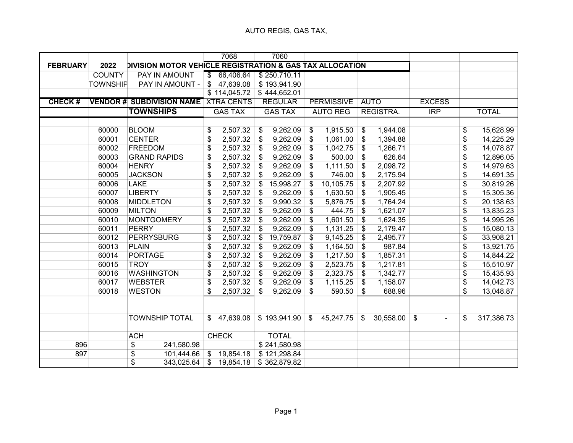|                 |                 |                                                          |                 | 7068           | 7060                      |       |                   |                           |             |                                              |                 |              |
|-----------------|-----------------|----------------------------------------------------------|-----------------|----------------|---------------------------|-------|-------------------|---------------------------|-------------|----------------------------------------------|-----------------|--------------|
| <b>FEBRUARY</b> | 2022            | DIVISION MOTOR VEHICLE REGISTRATION & GAS TAX ALLOCATION |                 |                |                           |       |                   |                           |             |                                              |                 |              |
|                 | <b>COUNTY</b>   | PAY IN AMOUNT                                            | \$              | 66,406.64      | \$250,710.11              |       |                   |                           |             |                                              |                 |              |
|                 | <b>TOWNSHIP</b> | PAY IN AMOUNT -                                          | \$              | 47,639.08      | \$193,941.90              |       |                   |                           |             |                                              |                 |              |
|                 |                 |                                                          |                 | \$114,045.72   | $\overline{$}$ 444,652.01 |       |                   |                           |             |                                              |                 |              |
| <b>CHECK#</b>   |                 | <b>VENDOR # SUBDIVISION NAME XTRA CENTS</b>              |                 |                | <b>REGULAR</b>            |       | <b>PERMISSIVE</b> |                           | <b>AUTO</b> | <b>EXCESS</b>                                |                 |              |
|                 |                 | <b>TOWNSHIPS</b>                                         |                 | <b>GAS TAX</b> | <b>GAS TAX</b>            |       | <b>AUTO REG</b>   |                           | REGISTRA.   | IRP                                          |                 | <b>TOTAL</b> |
|                 |                 |                                                          |                 |                |                           |       |                   |                           |             |                                              |                 |              |
|                 | 60000           | <b>BLOOM</b>                                             | \$              | 2,507.32       | \$<br>9,262.09            | \$    | 1,915.50          | \$                        | 1,944.08    |                                              | \$              | 15,628.99    |
|                 | 60001           | <b>CENTER</b>                                            | \$              | 2,507.32       | \$<br>9,262.09            | \$    | 1,061.00          | $\boldsymbol{\mathsf{s}}$ | 1,394.88    |                                              | \$              | 14,225.29    |
|                 | 60002           | <b>FREEDOM</b>                                           | \$              | 2,507.32       | \$<br>9,262.09            | \$    | 1,042.75          | \$                        | 1,266.71    |                                              | \$              | 14,078.87    |
|                 | 60003           | <b>GRAND RAPIDS</b>                                      | \$              | 2,507.32       | \$<br>9,262.09            | \$    | 500.00            | \$                        | 626.64      |                                              | \$              | 12,896.05    |
|                 | 60004           | <b>HENRY</b>                                             | \$              | 2,507.32       | \$<br>9,262.09            | \$    | 1,111.50          | \$                        | 2,098.72    |                                              | \$              | 14,979.63    |
|                 | 60005           | <b>JACKSON</b>                                           | \$              | 2,507.32       | \$<br>9,262.09            | \$    | 746.00            | $\boldsymbol{\mathsf{s}}$ | 2,175.94    |                                              | \$              | 14,691.35    |
|                 | 60006           | <b>LAKE</b>                                              | \$              | 2,507.32       | \$<br>15,998.27           | \$    | 10,105.75         | \$                        | 2,207.92    |                                              | \$              | 30,819.26    |
|                 | 60007           | <b>LIBERTY</b>                                           | \$              | 2,507.32       | \$<br>9,262.09            | \$    | 1,630.50          | $\boldsymbol{\mathsf{S}}$ | 1,905.45    |                                              | \$              | 15,305.36    |
|                 | 60008           | <b>MIDDLETON</b>                                         | \$              | 2,507.32       | \$<br>9,990.32            | \$    | 5,876.75          | \$                        | 1,764.24    |                                              | \$              | 20,138.63    |
|                 | 60009           | <b>MILTON</b>                                            | \$              | 2,507.32       | \$<br>9,262.09            | \$    | 444.75            | \$                        | 1,621.07    |                                              | \$              | 13,835.23    |
|                 | 60010           | <b>MONTGOMERY</b>                                        | \$              | 2,507.32       | \$<br>9,262.09            | \$    | 1,601.50          | $\boldsymbol{\mathsf{s}}$ | 1,624.35    |                                              | \$              | 14,995.26    |
|                 | 60011           | <b>PERRY</b>                                             | \$              | 2,507.32       | \$<br>9,262.09            | \$    | 1,131.25          | $\frac{1}{2}$             | 2,179.47    |                                              | \$              | 15,080.13    |
|                 | 60012           | <b>PERRYSBURG</b>                                        | \$              | 2,507.32       | \$<br>19,759.87           | \$    | 9,145.25          | \$                        | 2,495.77    |                                              | \$              | 33,908.21    |
|                 | 60013           | <b>PLAIN</b>                                             | $\overline{\$}$ | 2,507.32       | \$<br>9,262.09            | \$    | 1,164.50          | $\boldsymbol{\mathsf{S}}$ | 987.84      |                                              | \$              | 13,921.75    |
|                 | 60014           | <b>PORTAGE</b>                                           | \$              | 2,507.32       | \$<br>9,262.09            | \$    | 1,217.50          | \$                        | 1,857.31    |                                              | \$              | 14,844.22    |
|                 | 60015           | <b>TROY</b>                                              | \$              | 2,507.32       | \$<br>9,262.09            | \$    | 2,523.75          | \$                        | 1,217.81    |                                              | \$              | 15,510.97    |
|                 | 60016           | <b>WASHINGTON</b>                                        | \$              | 2,507.32       | \$<br>9,262.09            | \$    | 2,323.75          | $\boldsymbol{\mathsf{S}}$ | 1,342.77    |                                              | \$              | 15,435.93    |
|                 | 60017           | <b>WEBSTER</b>                                           | \$              | 2,507.32       | \$<br>9,262.09            | \$    | 1,115.25          | \$                        | 1,158.07    |                                              | $\overline{\$}$ | 14,042.73    |
|                 | 60018           | <b>WESTON</b>                                            | \$              | 2,507.32       | \$<br>9,262.09            | \$    | 590.50            | \$                        | 688.96      |                                              | \$              | 13,048.87    |
|                 |                 |                                                          |                 |                |                           |       |                   |                           |             |                                              |                 |              |
|                 |                 |                                                          |                 |                |                           |       |                   |                           |             |                                              |                 |              |
|                 |                 | <b>TOWNSHIP TOTAL</b>                                    | $\mathfrak{S}$  | 47,639.08      | \$193,941.90              | $\$\$ | 45,247.75         | \$                        | 30,558.00   | $\boldsymbol{\mathsf{\$}}$<br>$\blacksquare$ | \$              | 317,386.73   |
|                 |                 |                                                          |                 |                |                           |       |                   |                           |             |                                              |                 |              |
|                 |                 | <b>ACH</b>                                               |                 | <b>CHECK</b>   | <b>TOTAL</b>              |       |                   |                           |             |                                              |                 |              |
| 896             |                 | \$<br>241,580.98                                         |                 |                | \$241,580.98              |       |                   |                           |             |                                              |                 |              |
| 897             |                 | \$<br>101,444.66                                         | $\mathfrak{S}$  | 19,854.18      | \$121,298.84              |       |                   |                           |             |                                              |                 |              |
|                 |                 | $\overline{\$}$<br>343,025.64                            | \$              | 19,854.18      | \$362,879.82              |       |                   |                           |             |                                              |                 |              |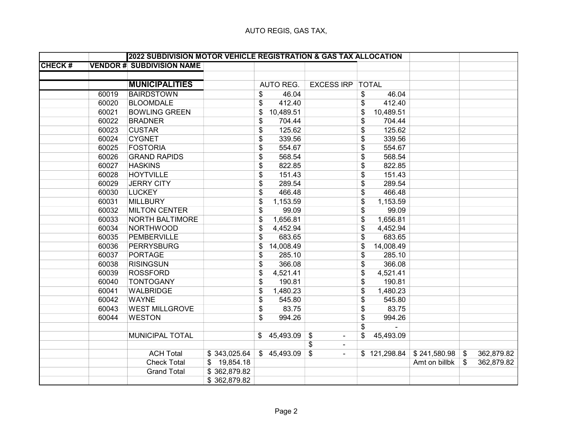|               |       | 2022 SUBDIVISION MOTOR VEHICLE REGISTRATION & GAS TAX ALLOCATION |              |                 |                         |                 |               |                           |            |
|---------------|-------|------------------------------------------------------------------|--------------|-----------------|-------------------------|-----------------|---------------|---------------------------|------------|
| <b>CHECK#</b> |       | <b>VENDOR # SUBDIVISION NAME</b>                                 |              |                 |                         |                 |               |                           |            |
|               |       |                                                                  |              |                 |                         |                 |               |                           |            |
|               |       | <b>MUNICIPALITIES</b>                                            |              | AUTO REG.       | <b>EXCESS IRP TOTAL</b> |                 |               |                           |            |
|               | 60019 | <b>BAIRDSTOWN</b>                                                |              | 46.04<br>\$     |                         | 46.04<br>\$     |               |                           |            |
|               | 60020 | <b>BLOOMDALE</b>                                                 |              | 412.40<br>\$    |                         | 412.40<br>\$    |               |                           |            |
|               | 60021 | <b>BOWLING GREEN</b>                                             |              | 10,489.51<br>\$ |                         | \$<br>10,489.51 |               |                           |            |
|               | 60022 | <b>BRADNER</b>                                                   |              | \$<br>704.44    |                         | \$<br>704.44    |               |                           |            |
|               | 60023 | <b>CUSTAR</b>                                                    |              | 125.62<br>\$    |                         | 125.62<br>\$    |               |                           |            |
|               | 60024 | <b>CYGNET</b>                                                    |              | \$<br>339.56    |                         | \$<br>339.56    |               |                           |            |
|               | 60025 | <b>FOSTORIA</b>                                                  |              | \$<br>554.67    |                         | \$<br>554.67    |               |                           |            |
|               | 60026 | <b>GRAND RAPIDS</b>                                              |              | 568.54<br>\$    |                         | 568.54<br>\$    |               |                           |            |
|               | 60027 | <b>HASKINS</b>                                                   |              | \$<br>822.85    |                         | \$<br>822.85    |               |                           |            |
|               | 60028 | <b>HOYTVILLE</b>                                                 |              | \$<br>151.43    |                         | \$<br>151.43    |               |                           |            |
|               | 60029 | <b>JERRY CITY</b>                                                |              | \$<br>289.54    |                         | \$<br>289.54    |               |                           |            |
|               | 60030 | <b>LUCKEY</b>                                                    |              | \$<br>466.48    |                         | \$<br>466.48    |               |                           |            |
|               | 60031 | <b>MILLBURY</b>                                                  |              | \$<br>1,153.59  |                         | \$<br>1,153.59  |               |                           |            |
|               | 60032 | <b>MILTON CENTER</b>                                             |              | \$<br>99.09     |                         | \$<br>99.09     |               |                           |            |
|               | 60033 | NORTH BALTIMORE                                                  |              | 1,656.81<br>\$  |                         | \$<br>1,656.81  |               |                           |            |
|               | 60034 | <b>NORTHWOOD</b>                                                 |              | \$<br>4,452.94  |                         | \$<br>4,452.94  |               |                           |            |
|               | 60035 | PEMBERVILLE                                                      |              | 683.65<br>\$    |                         | \$<br>683.65    |               |                           |            |
|               | 60036 | <b>PERRYSBURG</b>                                                |              | 14,008.49<br>\$ |                         | \$<br>14,008.49 |               |                           |            |
|               | 60037 | <b>PORTAGE</b>                                                   |              | 285.10<br>\$    |                         | \$<br>285.10    |               |                           |            |
|               | 60038 | <b>RISINGSUN</b>                                                 |              | \$<br>366.08    |                         | \$<br>366.08    |               |                           |            |
|               | 60039 | <b>ROSSFORD</b>                                                  |              | 4,521.41<br>\$  |                         | \$<br>4,521.41  |               |                           |            |
|               | 60040 | <b>TONTOGANY</b>                                                 |              | \$<br>190.81    |                         | \$<br>190.81    |               |                           |            |
|               | 60041 | <b>WALBRIDGE</b>                                                 |              | 1,480.23<br>\$  |                         | \$<br>1,480.23  |               |                           |            |
|               | 60042 | <b>WAYNE</b>                                                     |              | \$<br>545.80    |                         | \$<br>545.80    |               |                           |            |
|               | 60043 | <b>WEST MILLGROVE</b>                                            |              | \$<br>83.75     |                         | \$<br>83.75     |               |                           |            |
|               | 60044 | <b>WESTON</b>                                                    |              | 994.26<br>\$    |                         | \$<br>994.26    |               |                           |            |
|               |       |                                                                  |              |                 |                         | \$              |               |                           |            |
|               |       | MUNICIPAL TOTAL                                                  |              | \$45,493.09     | \$<br>$\blacksquare$    | \$<br>45,493.09 |               |                           |            |
|               |       |                                                                  |              |                 | \$<br>$\blacksquare$    |                 |               |                           |            |
|               |       | <b>ACH Total</b>                                                 | \$343,025.64 | \$45,493.09     | \$<br>$\blacksquare$    | \$121,298.84    | \$241,580.98  | $\mathfrak{S}$            | 362,879.82 |
|               |       | <b>Check Total</b>                                               | \$19,854.18  |                 |                         |                 | Amt on billbk | $\boldsymbol{\mathsf{s}}$ | 362,879.82 |
|               |       | <b>Grand Total</b>                                               | \$362,879.82 |                 |                         |                 |               |                           |            |
|               |       |                                                                  | \$362,879.82 |                 |                         |                 |               |                           |            |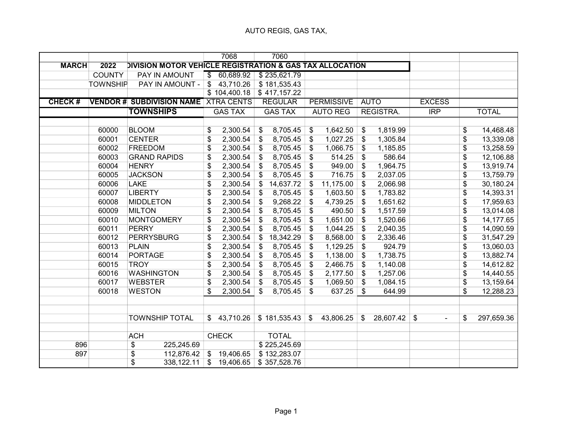|               |                 |                                                          |                          | 7068           |                           | 7060           |                   |                   |                           |             |                                                        |                          |              |
|---------------|-----------------|----------------------------------------------------------|--------------------------|----------------|---------------------------|----------------|-------------------|-------------------|---------------------------|-------------|--------------------------------------------------------|--------------------------|--------------|
| <b>MARCH</b>  | 2022            | DIVISION MOTOR VEHICLE REGISTRATION & GAS TAX ALLOCATION |                          |                |                           |                |                   |                   |                           |             |                                                        |                          |              |
|               | <b>COUNTY</b>   | PAY IN AMOUNT                                            | $\overline{\mathcal{S}}$ | 60,689.92      |                           | \$235,621.79   |                   |                   |                           |             |                                                        |                          |              |
|               | <b>TOWNSHIP</b> | PAY IN AMOUNT -                                          | $\mathfrak{L}$           | 43,710.26      |                           | \$181,535.43   |                   |                   |                           |             |                                                        |                          |              |
|               |                 |                                                          |                          | \$104,400.18   |                           | \$417,157.22   |                   |                   |                           |             |                                                        |                          |              |
| <b>CHECK#</b> |                 | <b>VENDOR # SUBDIVISION NAME XTRA CENTS</b>              |                          |                |                           | <b>REGULAR</b> |                   | <b>PERMISSIVE</b> |                           | <b>AUTO</b> | <b>EXCESS</b>                                          |                          |              |
|               |                 | <b>TOWNSHIPS</b>                                         |                          | <b>GAS TAX</b> |                           | <b>GAS TAX</b> |                   | <b>AUTO REG</b>   |                           | REGISTRA.   | $\overline{IRP}$                                       |                          | <b>TOTAL</b> |
|               |                 |                                                          |                          |                |                           |                |                   |                   |                           |             |                                                        |                          |              |
|               | 60000           | <b>BLOOM</b>                                             | \$                       | 2,300.54       | \$                        | 8,705.45       | \$                | 1,642.50          | \$                        | 1,819.99    |                                                        | \$                       | 14,468.48    |
|               | 60001           | <b>CENTER</b>                                            | \$                       | 2,300.54       | $\boldsymbol{\mathsf{s}}$ | 8,705.45       | \$                | 1,027.25          | \$                        | 1,305.84    |                                                        | \$                       | 13,339.08    |
|               | 60002           | <b>FREEDOM</b>                                           | \$                       | 2,300.54       | \$                        | 8,705.45       | \$                | 1,066.75          | \$                        | 1,185.85    |                                                        | \$                       | 13,258.59    |
|               | 60003           | <b>GRAND RAPIDS</b>                                      | \$                       | 2,300.54       | $\boldsymbol{\mathsf{S}}$ | 8,705.45       | \$                | 514.25            | \$                        | 586.64      |                                                        | $\overline{\mathcal{L}}$ | 12,106.88    |
|               | 60004           | <b>HENRY</b>                                             | \$                       | 2,300.54       | \$                        | 8,705.45       | \$                | 949.00            | \$                        | 1,964.75    |                                                        | $\overline{\mathcal{L}}$ | 13,919.74    |
|               | 60005           | <b>JACKSON</b>                                           | \$                       | 2,300.54       | \$                        | 8,705.45       | \$                | 716.75            | \$                        | 2,037.05    |                                                        | \$                       | 13,759.79    |
|               | 60006           | <b>LAKE</b>                                              | \$                       | 2,300.54       | \$                        | 14,637.72      | \$                | 11,175.00         | $\boldsymbol{\mathsf{s}}$ | 2,066.98    |                                                        | \$                       | 30,180.24    |
|               | 60007           | <b>LIBERTY</b>                                           | \$                       | 2,300.54       | \$                        | 8,705.45       | \$                | 1,603.50          | \$                        | 1,783.82    |                                                        | \$                       | 14,393.31    |
|               | 60008           | <b>MIDDLETON</b>                                         | \$                       | 2,300.54       | $\boldsymbol{\mathsf{s}}$ | 9,268.22       | \$                | 4,739.25          | \$                        | 1,651.62    |                                                        | \$                       | 17,959.63    |
|               | 60009           | <b>MILTON</b>                                            | \$                       | 2,300.54       | \$                        | 8,705.45       | \$                | 490.50            | \$                        | 1,517.59    |                                                        | \$                       | 13,014.08    |
|               | 60010           | <b>MONTGOMERY</b>                                        | \$                       | 2,300.54       | $\boldsymbol{\mathsf{s}}$ | 8,705.45       | \$                | 1,651.00          | \$                        | 1,520.66    |                                                        | \$                       | 14,177.65    |
|               | 60011           | <b>PERRY</b>                                             | \$                       | 2,300.54       | \$                        | 8,705.45       | \$                | 1,044.25          | \$                        | 2,040.35    |                                                        | \$                       | 14,090.59    |
|               | 60012           | <b>PERRYSBURG</b>                                        | $\overline{\$}$          | 2,300.54       | \$                        | 18,342.29      | \$                | 8,568.00          | \$                        | 2,336.46    |                                                        | $\overline{\$}$          | 31,547.29    |
|               | 60013           | <b>PLAIN</b>                                             | \$                       | 2,300.54       | \$                        | 8,705.45       | \$                | 1,129.25          | $\$\$                     | 924.79      |                                                        | \$                       | 13,060.03    |
|               | 60014           | <b>PORTAGE</b>                                           | \$                       | 2,300.54       | \$                        | 8,705.45       | \$                | 1,138.00          | \$                        | 1,738.75    |                                                        | \$                       | 13,882.74    |
|               | 60015           | <b>TROY</b>                                              | \$                       | 2,300.54       | \$                        | 8,705.45       | \$                | 2,466.75          | \$                        | 1,140.08    |                                                        | $\overline{\$}$          | 14,612.82    |
|               | 60016           | <b>WASHINGTON</b>                                        | \$                       | 2,300.54       | \$                        | 8,705.45       | $\boldsymbol{\$}$ | 2,177.50          | \$                        | 1,257.06    |                                                        | \$                       | 14,440.55    |
|               | 60017           | <b>WEBSTER</b>                                           | \$                       | 2,300.54       | $\boldsymbol{\mathsf{s}}$ | 8,705.45       | \$                | 1,069.50          | \$                        | 1,084.15    |                                                        | $\overline{\$}$          | 13,159.64    |
|               | 60018           | <b>WESTON</b>                                            | \$                       | 2,300.54       | \$                        | 8,705.45       | \$                | 637.25            | \$                        | 644.99      |                                                        | \$                       | 12,288.23    |
|               |                 |                                                          |                          |                |                           |                |                   |                   |                           |             |                                                        |                          |              |
|               |                 |                                                          |                          |                |                           |                |                   |                   |                           |             |                                                        |                          |              |
|               |                 | <b>TOWNSHIP TOTAL</b>                                    |                          | \$43,710.26    |                           | \$181,535.43   | $\sqrt[6]{2}$     | 43,806.25         | \$                        | 28,607.42   | $\boldsymbol{\mathsf{\$}}$<br>$\overline{\phantom{a}}$ | \$                       | 297,659.36   |
|               |                 |                                                          |                          |                |                           |                |                   |                   |                           |             |                                                        |                          |              |
|               |                 | <b>ACH</b>                                               |                          | <b>CHECK</b>   |                           | <b>TOTAL</b>   |                   |                   |                           |             |                                                        |                          |              |
| 896           |                 | \$<br>225,245.69                                         |                          |                |                           | \$225,245.69   |                   |                   |                           |             |                                                        |                          |              |
| 897           |                 | \$<br>112,876.42                                         | $\mathfrak{S}$           | 19,406.65      |                           | \$132,283.07   |                   |                   |                           |             |                                                        |                          |              |
|               |                 | $\overline{\$}$<br>338,122.11                            | \$                       | 19,406.65      |                           | \$357,528.76   |                   |                   |                           |             |                                                        |                          |              |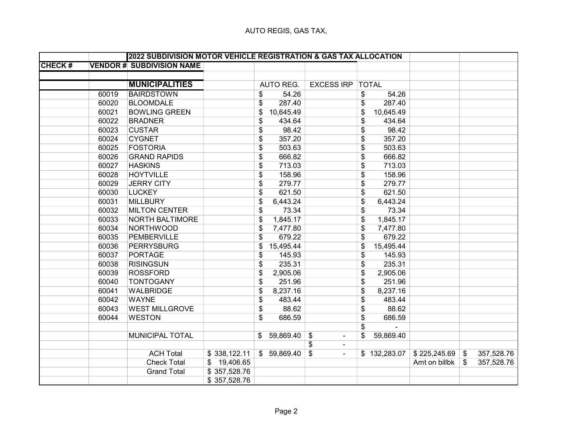|               |       | 2022 SUBDIVISION MOTOR VEHICLE REGISTRATION & GAS TAX ALLOCATION |              |                 |                      |                 |               |              |            |
|---------------|-------|------------------------------------------------------------------|--------------|-----------------|----------------------|-----------------|---------------|--------------|------------|
| <b>CHECK#</b> |       | <b>VENDOR # SUBDIVISION NAME</b>                                 |              |                 |                      |                 |               |              |            |
|               |       |                                                                  |              |                 |                      |                 |               |              |            |
|               |       | <b>MUNICIPALITIES</b>                                            |              | AUTO REG.       | <b>EXCESS IRP</b>    | <b>TOTAL</b>    |               |              |            |
|               | 60019 | <b>BAIRDSTOWN</b>                                                |              | 54.26<br>\$     |                      | \$<br>54.26     |               |              |            |
|               | 60020 | <b>BLOOMDALE</b>                                                 |              | 287.40<br>\$    |                      | 287.40<br>\$    |               |              |            |
|               | 60021 | <b>BOWLING GREEN</b>                                             |              | \$<br>10,645.49 |                      | \$<br>10,645.49 |               |              |            |
|               | 60022 | <b>BRADNER</b>                                                   |              | \$<br>434.64    |                      | \$<br>434.64    |               |              |            |
|               | 60023 | <b>CUSTAR</b>                                                    |              | 98.42<br>\$     |                      | 98.42<br>\$     |               |              |            |
|               | 60024 | <b>CYGNET</b>                                                    |              | 357.20<br>\$    |                      | 357.20<br>\$    |               |              |            |
|               | 60025 | <b>FOSTORIA</b>                                                  |              | \$<br>503.63    |                      | \$<br>503.63    |               |              |            |
|               | 60026 | <b>GRAND RAPIDS</b>                                              |              | \$<br>666.82    |                      | \$<br>666.82    |               |              |            |
|               | 60027 | <b>HASKINS</b>                                                   |              | \$<br>713.03    |                      | 713.03<br>\$    |               |              |            |
|               | 60028 | <b>HOYTVILLE</b>                                                 |              | 158.96<br>\$    |                      | 158.96<br>\$    |               |              |            |
|               | 60029 | <b>JERRY CITY</b>                                                |              | 279.77<br>\$    |                      | 279.77<br>\$    |               |              |            |
|               | 60030 | <b>LUCKEY</b>                                                    |              | 621.50<br>\$    |                      | 621.50<br>\$    |               |              |            |
|               | 60031 | <b>MILLBURY</b>                                                  |              | 6,443.24<br>\$  |                      | \$<br>6,443.24  |               |              |            |
|               | 60032 | <b>MILTON CENTER</b>                                             |              | 73.34<br>\$     |                      | \$<br>73.34     |               |              |            |
|               | 60033 | <b>NORTH BALTIMORE</b>                                           |              | \$<br>1,845.17  |                      | \$<br>1,845.17  |               |              |            |
|               | 60034 | <b>NORTHWOOD</b>                                                 |              | \$<br>7,477.80  |                      | \$<br>7,477.80  |               |              |            |
|               | 60035 | <b>PEMBERVILLE</b>                                               |              | 679.22<br>\$    |                      | \$<br>679.22    |               |              |            |
|               | 60036 | <b>PERRYSBURG</b>                                                |              | 15,495.44<br>\$ |                      | \$<br>15,495.44 |               |              |            |
|               | 60037 | <b>PORTAGE</b>                                                   |              | \$<br>145.93    |                      | \$<br>145.93    |               |              |            |
|               | 60038 | <b>RISINGSUN</b>                                                 |              | 235.31<br>\$    |                      | 235.31<br>\$    |               |              |            |
|               | 60039 | <b>ROSSFORD</b>                                                  |              | 2,905.06<br>\$  |                      | \$<br>2,905.06  |               |              |            |
|               | 60040 | <b>TONTOGANY</b>                                                 |              | 251.96<br>\$    |                      | \$<br>251.96    |               |              |            |
|               | 60041 | <b>WALBRIDGE</b>                                                 |              | 8,237.16<br>\$  |                      | 8,237.16<br>\$  |               |              |            |
|               | 60042 | <b>WAYNE</b>                                                     |              | 483.44<br>\$    |                      | \$<br>483.44    |               |              |            |
|               | 60043 | <b>WEST MILLGROVE</b>                                            |              | 88.62<br>\$     |                      | 88.62<br>\$     |               |              |            |
|               | 60044 | <b>WESTON</b>                                                    |              | 686.59<br>\$    |                      | \$<br>686.59    |               |              |            |
|               |       |                                                                  |              |                 |                      | \$              |               |              |            |
|               |       | MUNICIPAL TOTAL                                                  |              | \$59,869.40     | \$<br>$\blacksquare$ | \$<br>59,869.40 |               |              |            |
|               |       |                                                                  |              |                 | \$<br>$\blacksquare$ |                 |               |              |            |
|               |       | <b>ACH Total</b>                                                 | \$338,122.11 | \$59,869.40     | \$<br>$\blacksquare$ | \$132,283.07    | \$225,245.69  | $\mathbb{S}$ | 357,528.76 |
|               |       | <b>Check Total</b>                                               | \$19,406.65  |                 |                      |                 | Amt on billbk | \$           | 357,528.76 |
|               |       | <b>Grand Total</b>                                               | \$357,528.76 |                 |                      |                 |               |              |            |
|               |       |                                                                  | \$357,528.76 |                 |                      |                 |               |              |            |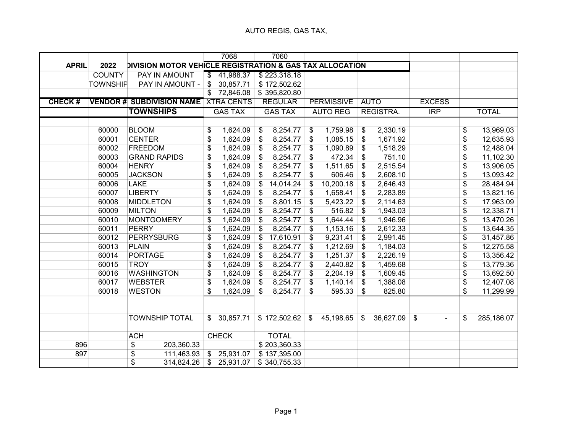|               |                 |                                                          |                          | 7068           |                           | 7060                     |                           |                   |                   |                  |                      |                         |              |
|---------------|-----------------|----------------------------------------------------------|--------------------------|----------------|---------------------------|--------------------------|---------------------------|-------------------|-------------------|------------------|----------------------|-------------------------|--------------|
| <b>APRIL</b>  | 2022            | DIVISION MOTOR VEHICLE REGISTRATION & GAS TAX ALLOCATION |                          |                |                           |                          |                           |                   |                   |                  |                      |                         |              |
|               | <b>COUNTY</b>   | PAY IN AMOUNT                                            | $\overline{\mathcal{S}}$ | 41,988.37      |                           | \$223,318.18             |                           |                   |                   |                  |                      |                         |              |
|               | <b>TOWNSHIP</b> | PAY IN AMOUNT -                                          | \$                       | 30,857.71      |                           | \$172,502.62             |                           |                   |                   |                  |                      |                         |              |
|               |                 |                                                          | $\overline{\$}$          | 72,846.08      |                           | \$395,820.80             |                           |                   |                   |                  |                      |                         |              |
| <b>CHECK#</b> |                 | <b>VENDOR # SUBDIVISION NAME XTRA CENTS</b>              |                          |                |                           | <b>REGULAR</b>           |                           | <b>PERMISSIVE</b> |                   | <b>AUTO</b>      | <b>EXCESS</b>        |                         |              |
|               |                 | <b>TOWNSHIPS</b>                                         |                          | <b>GAS TAX</b> |                           | <b>GAS TAX</b>           |                           | <b>AUTO REG</b>   |                   | <b>REGISTRA.</b> | IRP                  |                         | <b>TOTAL</b> |
|               |                 |                                                          |                          |                |                           |                          |                           |                   |                   |                  |                      |                         |              |
|               | 60000           | <b>BLOOM</b>                                             | \$                       | 1,624.09       | \$                        | 8,254.77                 | \$                        | 1,759.98          | \$                | 2,330.19         |                      | \$                      | 13,969.03    |
|               | 60001           | <b>CENTER</b>                                            | \$                       | 1,624.09       | \$                        | 8,254.77                 | \$                        | 1,085.15          | \$                | 1,671.92         |                      | \$                      | 12,635.93    |
|               | 60002           | <b>FREEDOM</b>                                           | \$                       | 1,624.09       | $\frac{1}{2}$             | 8,254.77                 | \$                        | 1,090.89          | \$                | 1,518.29         |                      | \$                      | 12,488.04    |
|               | 60003           | <b>GRAND RAPIDS</b>                                      | \$                       | 1,624.09       | \$                        | 8,254.77                 | \$                        | 472.34            | \$                | 751.10           |                      | $\sqrt[6]{\frac{1}{2}}$ | 11,102.30    |
|               | 60004           | <b>HENRY</b>                                             | \$                       | 1,624.09       | $\boldsymbol{\mathsf{s}}$ | 8,254.77                 | \$                        | 1,511.65          | \$                | 2,515.54         |                      | \$                      | 13,906.05    |
|               | 60005           | <b>JACKSON</b>                                           | \$                       | 1,624.09       | \$                        | 8,254.77                 | \$                        | 606.46            | \$                | 2,608.10         |                      | \$                      | 13,093.42    |
|               | 60006           | <b>LAKE</b>                                              | \$                       | 1,624.09       | \$                        | 14,014.24                | \$                        | 10,200.18         | \$                | 2,646.43         |                      | \$                      | 28,484.94    |
|               | 60007           | <b>LIBERTY</b>                                           | \$                       | 1,624.09       | \$                        | 8,254.77                 | \$                        | 1,658.41          | \$                | 2,283.89         |                      | \$                      | 13,821.16    |
|               | 60008           | <b>MIDDLETON</b>                                         | \$                       | 1,624.09       | \$                        | 8,801.15                 | $\boldsymbol{\mathsf{S}}$ | 5,423.22          | \$                | 2,114.63         |                      | \$                      | 17,963.09    |
|               | 60009           | <b>MILTON</b>                                            | \$                       | 1,624.09       | $\boldsymbol{\mathsf{S}}$ | 8,254.77                 | \$                        | 516.82            | \$                | 1,943.03         |                      | \$                      | 12,338.71    |
|               | 60010           | <b>MONTGOMERY</b>                                        | \$                       | 1,624.09       | \$                        | 8,254.77                 | \$                        | 1,644.44          | \$                | 1,946.96         |                      | \$                      | 13,470.26    |
|               | 60011           | <b>PERRY</b>                                             | \$                       | 1,624.09       | \$                        | 8,254.77                 | $\frac{1}{2}$             | 1,153.16          | \$                | 2,612.33         |                      | \$                      | 13,644.35    |
|               | 60012           | <b>PERRYSBURG</b>                                        | \$                       | 1,624.09       | \$                        | 17,610.91                | \$                        | 9,231.41          | \$                | 2,991.45         |                      | \$                      | 31,457.86    |
|               | 60013           | <b>PLAIN</b>                                             | $\overline{\$}$          | 1,624.09       | \$                        | 8,254.77                 | \$                        | 1,212.69          | $\boldsymbol{\$}$ | 1,184.03         |                      | $\overline{\$}$         | 12,275.58    |
|               | 60014           | <b>PORTAGE</b>                                           | \$                       | 1,624.09       | $\boldsymbol{\mathsf{S}}$ | 8,254.77                 | \$                        | 1,251.37          | \$                | 2,226.19         |                      | \$                      | 13,356.42    |
|               | 60015           | <b>TROY</b>                                              | \$                       | 1,624.09       | \$                        | 8,254.77                 | \$                        | 2,440.82          | \$                | 1,459.68         |                      | \$                      | 13,779.36    |
|               | 60016           | <b>WASHINGTON</b>                                        | \$                       | 1,624.09       | \$                        | 8,254.77                 | $\boldsymbol{\mathsf{s}}$ | 2,204.19          | \$                | 1,609.45         |                      | \$                      | 13,692.50    |
|               | 60017           | <b>WEBSTER</b>                                           | \$                       | 1,624.09       | $\boldsymbol{\mathsf{s}}$ | 8,254.77                 | $\mathfrak{F}$            | 1,140.14          | \$                | 1,388.08         |                      | \$                      | 12,407.08    |
|               | 60018           | <b>WESTON</b>                                            | \$                       | 1,624.09       | \$                        | 8,254.77                 | $\mathfrak{F}$            | 595.33            | \$                | 825.80           |                      | \$                      | 11,299.99    |
|               |                 |                                                          |                          |                |                           |                          |                           |                   |                   |                  |                      |                         |              |
|               |                 |                                                          |                          |                |                           |                          |                           |                   |                   |                  |                      |                         |              |
|               |                 | <b>TOWNSHIP TOTAL</b>                                    | \$                       | 30,857.71      |                           | \$172,502.62             | $\sqrt[6]{2}$             | 45,198.65         | $\$\$             | 36,627.09        | \$<br>$\blacksquare$ | \$                      | 285,186.07   |
|               |                 |                                                          |                          |                |                           |                          |                           |                   |                   |                  |                      |                         |              |
|               |                 | <b>ACH</b>                                               |                          | <b>CHECK</b>   |                           | <b>TOTAL</b>             |                           |                   |                   |                  |                      |                         |              |
| 896           |                 | \$<br>203,360.33                                         |                          |                |                           | \$203,360.33             |                           |                   |                   |                  |                      |                         |              |
| 897           |                 | \$<br>111,463.93                                         |                          | \$25,931.07    |                           | $\overline{$}137,395.00$ |                           |                   |                   |                  |                      |                         |              |
|               |                 | $\overline{\$}$<br>314,824.26                            | \$                       | 25,931.07      |                           | \$340,755.33             |                           |                   |                   |                  |                      |                         |              |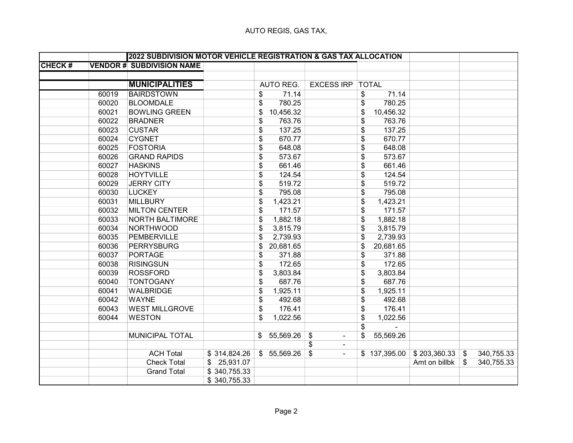|               |       | 2022 SUBDIVISION MOTOR VEHICLE REGISTRATION & GAS TAX ALLOCATION |              |             |                                             |              |              |               |                |            |
|---------------|-------|------------------------------------------------------------------|--------------|-------------|---------------------------------------------|--------------|--------------|---------------|----------------|------------|
| <b>CHECK#</b> |       | <b>VENDOR # SUBDIVISION NAME</b>                                 |              |             |                                             |              |              |               |                |            |
|               |       |                                                                  |              |             |                                             |              |              |               |                |            |
|               |       | <b>MUNICIPALITIES</b>                                            |              | AUTO REG.   | <b>EXCESS IRP</b>                           | <b>TOTAL</b> |              |               |                |            |
|               | 60019 | <b>BAIRDSTOWN</b>                                                | \$           | 71.14       |                                             | \$           | 71.14        |               |                |            |
|               | 60020 | <b>BLOOMDALE</b>                                                 | \$           | 780.25      |                                             | \$           | 780.25       |               |                |            |
|               | 60021 | <b>BOWLING GREEN</b>                                             | \$           | 10,456.32   |                                             | \$           | 10,456.32    |               |                |            |
|               | 60022 | <b>BRADNER</b>                                                   | \$           | 763.76      |                                             | \$           | 763.76       |               |                |            |
|               | 60023 | <b>CUSTAR</b>                                                    | \$           | 137.25      |                                             | \$           | 137.25       |               |                |            |
|               | 60024 | <b>CYGNET</b>                                                    | \$           | 670.77      |                                             | \$           | 670.77       |               |                |            |
|               | 60025 | <b>FOSTORIA</b>                                                  | \$           | 648.08      |                                             | \$           | 648.08       |               |                |            |
|               | 60026 | <b>GRAND RAPIDS</b>                                              | \$           | 573.67      |                                             | \$           | 573.67       |               |                |            |
|               | 60027 | <b>HASKINS</b>                                                   | \$           | 661.46      |                                             | \$           | 661.46       |               |                |            |
|               | 60028 | <b>HOYTVILLE</b>                                                 | \$           | 124.54      |                                             | \$           | 124.54       |               |                |            |
|               | 60029 | <b>JERRY CITY</b>                                                | \$           | 519.72      |                                             | \$           | 519.72       |               |                |            |
|               | 60030 | <b>LUCKEY</b>                                                    | \$           | 795.08      |                                             | \$           | 795.08       |               |                |            |
|               | 60031 | <b>MILLBURY</b>                                                  | \$           | 1,423.21    |                                             | \$           | 1,423.21     |               |                |            |
|               | 60032 | <b>MILTON CENTER</b>                                             | \$           | 171.57      |                                             | \$           | 171.57       |               |                |            |
|               | 60033 | <b>NORTH BALTIMORE</b>                                           | \$           | 1,882.18    |                                             | \$           | 1,882.18     |               |                |            |
|               | 60034 | NORTHWOOD                                                        | \$           | 3,815.79    |                                             | \$           | 3,815.79     |               |                |            |
|               | 60035 | <b>PEMBERVILLE</b>                                               | \$           | 2,739.93    |                                             | \$           | 2,739.93     |               |                |            |
|               | 60036 | <b>PERRYSBURG</b>                                                | \$           | 20,681.65   |                                             | \$           | 20,681.65    |               |                |            |
|               | 60037 | <b>PORTAGE</b>                                                   | \$           | 371.88      |                                             | \$           | 371.88       |               |                |            |
|               | 60038 | <b>RISINGSUN</b>                                                 | \$           | 172.65      |                                             | \$           | 172.65       |               |                |            |
|               | 60039 | <b>ROSSFORD</b>                                                  | \$           | 3,803.84    |                                             | \$           | 3,803.84     |               |                |            |
|               | 60040 | <b>TONTOGANY</b>                                                 | \$           | 687.76      |                                             | \$           | 687.76       |               |                |            |
|               | 60041 | <b>WALBRIDGE</b>                                                 | \$           | 1,925.11    |                                             | \$           | 1,925.11     |               |                |            |
|               | 60042 | <b>WAYNE</b>                                                     | \$           | 492.68      |                                             | \$           | 492.68       |               |                |            |
|               | 60043 | <b>WEST MILLGROVE</b>                                            | \$           | 176.41      |                                             | \$           | 176.41       |               |                |            |
|               | 60044 | <b>WESTON</b>                                                    | \$           | 1,022.56    |                                             | \$           | 1,022.56     |               |                |            |
|               |       |                                                                  |              |             |                                             | \$           |              |               |                |            |
|               |       | MUNICIPAL TOTAL                                                  |              | \$55,569.26 | \$<br>$\blacksquare$                        | \$           | 55,569.26    |               |                |            |
|               |       |                                                                  |              |             | $\boldsymbol{\mathsf{s}}$<br>$\blacksquare$ |              |              |               |                |            |
|               |       | <b>ACH Total</b>                                                 | \$314,824.26 | \$55,569.26 | \$<br>$\blacksquare$                        |              | \$137,395.00 | \$203,360.33  | $\mathfrak{S}$ | 340,755.33 |
|               |       | <b>Check Total</b>                                               | \$25,931.07  |             |                                             |              |              | Amt on billbk | \$             | 340,755.33 |
|               |       | <b>Grand Total</b>                                               | \$340,755.33 |             |                                             |              |              |               |                |            |
|               |       |                                                                  | \$340,755.33 |             |                                             |              |              |               |                |            |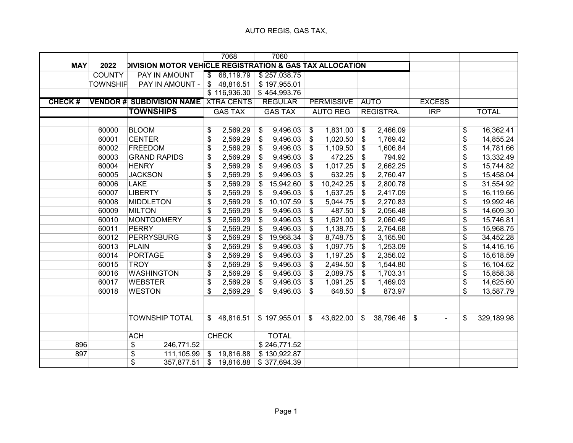|               |                 |                                                          |       | 7068           | 7060                      |                          |                   |                           |             |                                |                 |              |
|---------------|-----------------|----------------------------------------------------------|-------|----------------|---------------------------|--------------------------|-------------------|---------------------------|-------------|--------------------------------|-----------------|--------------|
| <b>MAY</b>    | 2022            | DIVISION MOTOR VEHICLE REGISTRATION & GAS TAX ALLOCATION |       |                |                           |                          |                   |                           |             |                                |                 |              |
|               | <b>COUNTY</b>   | PAY IN AMOUNT                                            | \$    | 68,119.79      | \$257,038.75              |                          |                   |                           |             |                                |                 |              |
|               | <b>TOWNSHIP</b> | PAY IN AMOUNT -                                          | \$    | 48,816.51      | \$197,955.01              |                          |                   |                           |             |                                |                 |              |
|               |                 |                                                          |       | \$116,936.30   | $\overline{$}$ 454,993.76 |                          |                   |                           |             |                                |                 |              |
| <b>CHECK#</b> |                 | <b>VENDOR # SUBDIVISION NAME XTRA CENTS</b>              |       |                | <b>REGULAR</b>            |                          | <b>PERMISSIVE</b> |                           | <b>AUTO</b> | <b>EXCESS</b>                  |                 |              |
|               |                 | <b>TOWNSHIPS</b>                                         |       | <b>GAS TAX</b> | <b>GAS TAX</b>            |                          | <b>AUTO REG</b>   |                           | REGISTRA.   | $\overline{\text{IRP}}$        |                 | <b>TOTAL</b> |
|               |                 |                                                          |       |                |                           |                          |                   |                           |             |                                |                 |              |
|               | 60000           | <b>BLOOM</b>                                             | \$    | 2,569.29       | \$<br>9,496.03            | \$                       | 1,831.00          | \$                        | 2,466.09    |                                | \$              | 16,362.41    |
|               | 60001           | <b>CENTER</b>                                            | \$    | 2,569.29       | \$<br>9,496.03            | \$                       | 1,020.50          | \$                        | 1,769.42    |                                | \$              | 14,855.24    |
|               | 60002           | <b>FREEDOM</b>                                           | \$    | 2,569.29       | \$<br>9,496.03            | \$                       | 1,109.50          | \$                        | 1,606.84    |                                | \$              | 14,781.66    |
|               | 60003           | <b>GRAND RAPIDS</b>                                      | \$    | 2,569.29       | \$<br>9,496.03            | \$                       | 472.25            | \$                        | 794.92      |                                | \$              | 13,332.49    |
|               | 60004           | <b>HENRY</b>                                             | \$    | 2,569.29       | \$<br>9,496.03            | \$                       | 1,017.25          | \$                        | 2,662.25    |                                | \$              | 15,744.82    |
|               | 60005           | <b>JACKSON</b>                                           | \$    | 2,569.29       | \$<br>9,496.03            | \$                       | 632.25            | \$                        | 2,760.47    |                                | \$              | 15,458.04    |
|               | 60006           | <b>LAKE</b>                                              | \$    | 2,569.29       | \$<br>15,942.60           | \$                       | 10,242.25         | \$                        | 2,800.78    |                                | \$              | 31,554.92    |
|               | 60007           | <b>LIBERTY</b>                                           | \$    | 2,569.29       | \$<br>9,496.03            | \$                       | 1,637.25          | \$                        | 2,417.09    |                                | \$              | 16,119.66    |
|               | 60008           | <b>MIDDLETON</b>                                         | \$    | 2,569.29       | \$<br>10,107.59           | \$                       | 5,044.75          | \$                        | 2,270.83    |                                | \$              | 19,992.46    |
|               | 60009           | <b>MILTON</b>                                            | \$    | 2,569.29       | \$<br>9,496.03            | \$                       | 487.50            | \$                        | 2,056.48    |                                | \$              | 14,609.30    |
|               | 60010           | <b>MONTGOMERY</b>                                        | \$    | 2,569.29       | \$<br>9,496.03            | \$                       | 1,621.00          | $\boldsymbol{\mathsf{s}}$ | 2,060.49    |                                | \$              | 15,746.81    |
|               | 60011           | <b>PERRY</b>                                             | \$    | 2,569.29       | \$<br>9,496.03            | \$                       | 1,138.75          | \$                        | 2,764.68    |                                | \$              | 15,968.75    |
|               | 60012           | <b>PERRYSBURG</b>                                        | \$    | 2,569.29       | \$<br>19,968.34           | \$                       | 8,748.75          | \$                        | 3,165.90    |                                | $\overline{\$}$ | 34,452.28    |
|               | 60013           | <b>PLAIN</b>                                             | \$    | 2,569.29       | \$<br>9,496.03            | \$                       | 1,097.75          | \$                        | 1,253.09    |                                | $\overline{\$}$ | 14,416.16    |
|               | 60014           | <b>PORTAGE</b>                                           | \$    | 2,569.29       | \$<br>9,496.03            | \$                       | 1,197.25          | \$                        | 2,356.02    |                                | \$              | 15,618.59    |
|               | 60015           | <b>TROY</b>                                              | \$    | 2,569.29       | \$<br>9,496.03            | \$                       | 2,494.50          | $\boldsymbol{\mathsf{s}}$ | 1,544.80    |                                | \$              | 16,104.62    |
|               | 60016           | <b>WASHINGTON</b>                                        | \$    | 2,569.29       | \$<br>9,496.03            | \$                       | 2,089.75          | \$                        | 1,703.31    |                                | \$              | 15,858.38    |
|               | 60017           | <b>WEBSTER</b>                                           | \$    | 2,569.29       | \$<br>9,496.03            | $\mathfrak{F}$           | 1,091.25          | \$                        | 1,469.03    |                                | $\overline{\$}$ | 14,625.60    |
|               | 60018           | <b>WESTON</b>                                            | \$    | 2,569.29       | \$<br>9,496.03            | \$                       | 648.50            | \$                        | 873.97      |                                | \$              | 13,587.79    |
|               |                 |                                                          |       |                |                           |                          |                   |                           |             |                                |                 |              |
|               |                 |                                                          |       |                |                           |                          |                   |                           |             |                                |                 |              |
|               |                 | <b>TOWNSHIP TOTAL</b>                                    |       | \$48,816.51    | \$197,955.01              | $\overline{\mathcal{L}}$ | 43,622.00         | \$                        | 38,796.46   | \$<br>$\overline{\phantom{a}}$ | \$              | 329,189.98   |
|               |                 |                                                          |       |                |                           |                          |                   |                           |             |                                |                 |              |
|               |                 | <b>ACH</b>                                               |       | <b>CHECK</b>   | <b>TOTAL</b>              |                          |                   |                           |             |                                |                 |              |
| 896           |                 | \$<br>246,771.52                                         |       |                | \$246,771.52              |                          |                   |                           |             |                                |                 |              |
| 897           |                 | \$<br>111,105.99                                         |       | \$19,816.88    | \$130,922.87              |                          |                   |                           |             |                                |                 |              |
|               |                 | $\overline{\$}$<br>357,877.51                            | $\$\$ | 19,816.88      | \$377,694.39              |                          |                   |                           |             |                                |                 |              |